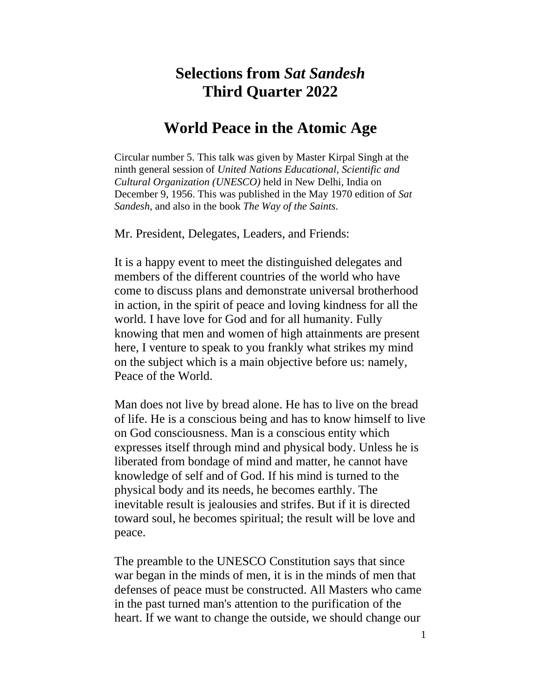# **Selections from** *Sat Sandesh* **Third Quarter 2022**

## **World Peace in the Atomic Age**

Circular number 5. This talk was given by Master Kirpal Singh at the ninth general session of *United Nations Educational, Scientific and Cultural Organization (UNESCO)* held in New Delhi, India on December 9, 1956. This was published in the May 1970 edition of *Sat Sandesh*, and also in the book *The Way of the Saints*.

Mr. President, Delegates, Leaders, and Friends:

It is a happy event to meet the distinguished delegates and members of the different countries of the world who have come to discuss plans and demonstrate universal brotherhood in action, in the spirit of peace and loving kindness for all the world. I have love for God and for all humanity. Fully knowing that men and women of high attainments are present here, I venture to speak to you frankly what strikes my mind on the subject which is a main objective before us: namely, Peace of the World.

Man does not live by bread alone. He has to live on the bread of life. He is a conscious being and has to know himself to live on God consciousness. Man is a conscious entity which expresses itself through mind and physical body. Unless he is liberated from bondage of mind and matter, he cannot have knowledge of self and of God. If his mind is turned to the physical body and its needs, he becomes earthly. The inevitable result is jealousies and strifes. But if it is directed toward soul, he becomes spiritual; the result will be love and peace.

The preamble to the UNESCO Constitution says that since war began in the minds of men, it is in the minds of men that defenses of peace must be constructed. All Masters who came in the past turned man's attention to the purification of the heart. If we want to change the outside, we should change our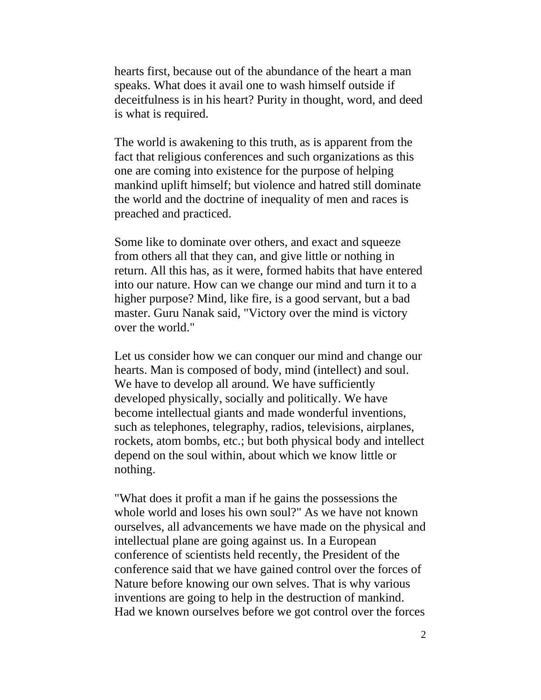hearts first, because out of the abundance of the heart a man speaks. What does it avail one to wash himself outside if deceitfulness is in his heart? Purity in thought, word, and deed is what is required.

The world is awakening to this truth, as is apparent from the fact that religious conferences and such organizations as this one are coming into existence for the purpose of helping mankind uplift himself; but violence and hatred still dominate the world and the doctrine of inequality of men and races is preached and practiced.

Some like to dominate over others, and exact and squeeze from others all that they can, and give little or nothing in return. All this has, as it were, formed habits that have entered into our nature. How can we change our mind and turn it to a higher purpose? Mind, like fire, is a good servant, but a bad master. Guru Nanak said, "Victory over the mind is victory over the world."

Let us consider how we can conquer our mind and change our hearts. Man is composed of body, mind (intellect) and soul. We have to develop all around. We have sufficiently developed physically, socially and politically. We have become intellectual giants and made wonderful inventions, such as telephones, telegraphy, radios, televisions, airplanes, rockets, atom bombs, etc.; but both physical body and intellect depend on the soul within, about which we know little or nothing.

"What does it profit a man if he gains the possessions the whole world and loses his own soul?" As we have not known ourselves, all advancements we have made on the physical and intellectual plane are going against us. In a European conference of scientists held recently, the President of the conference said that we have gained control over the forces of Nature before knowing our own selves. That is why various inventions are going to help in the destruction of mankind. Had we known ourselves before we got control over the forces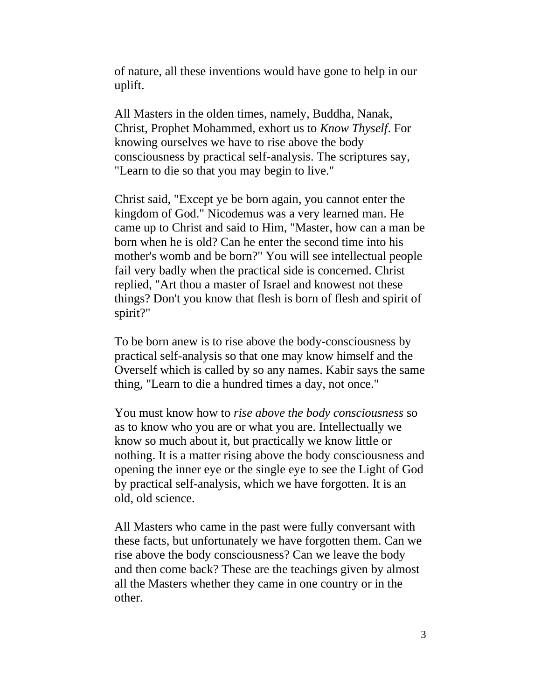of nature, all these inventions would have gone to help in our uplift.

All Masters in the olden times, namely, Buddha, Nanak, Christ, Prophet Mohammed, exhort us to *Know Thyself*. For knowing ourselves we have to rise above the body consciousness by practical self-analysis. The scriptures say, "Learn to die so that you may begin to live."

Christ said, "Except ye be born again, you cannot enter the kingdom of God." Nicodemus was a very learned man. He came up to Christ and said to Him, "Master, how can a man be born when he is old? Can he enter the second time into his mother's womb and be born?" You will see intellectual people fail very badly when the practical side is concerned. Christ replied, "Art thou a master of Israel and knowest not these things? Don't you know that flesh is born of flesh and spirit of spirit?"

To be born anew is to rise above the body-consciousness by practical self-analysis so that one may know himself and the Overself which is called by so any names. Kabir says the same thing, "Learn to die a hundred times a day, not once."

You must know how to *rise above the body consciousness* so as to know who you are or what you are. Intellectually we know so much about it, but practically we know little or nothing. It is a matter rising above the body consciousness and opening the inner eye or the single eye to see the Light of God by practical self-analysis, which we have forgotten. It is an old, old science.

All Masters who came in the past were fully conversant with these facts, but unfortunately we have forgotten them. Can we rise above the body consciousness? Can we leave the body and then come back? These are the teachings given by almost all the Masters whether they came in one country or in the other.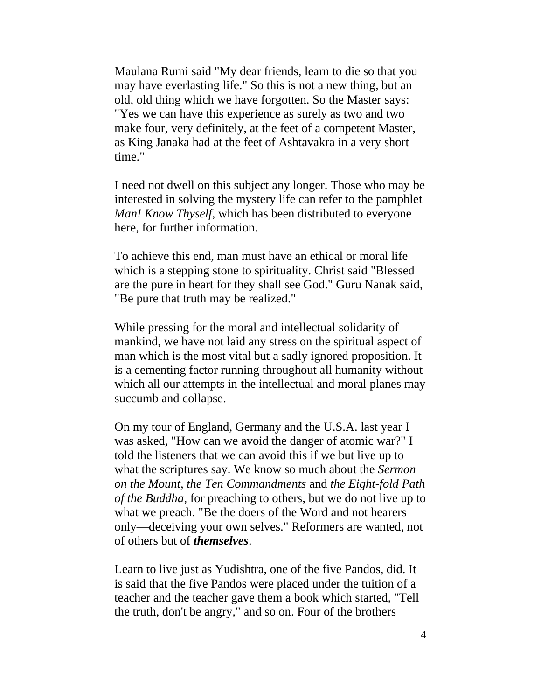Maulana Rumi said "My dear friends, learn to die so that you may have everlasting life." So this is not a new thing, but an old, old thing which we have forgotten. So the Master says: "Yes we can have this experience as surely as two and two make four, very definitely, at the feet of a competent Master, as King Janaka had at the feet of Ashtavakra in a very short time."

I need not dwell on this subject any longer. Those who may be interested in solving the mystery life can refer to the pamphlet *[Man! Know Thyself,](https://ruhanisatsangusa.org/knowthy.htm)* which has been distributed to everyone here, for further information.

To achieve this end, man must have an ethical or moral life which is a stepping stone to spirituality. Christ said "Blessed are the pure in heart for they shall see God." Guru Nanak said, "Be pure that truth may be realized."

While pressing for the moral and intellectual solidarity of mankind, we have not laid any stress on the spiritual aspect of man which is the most vital but a sadly ignored proposition. It is a cementing factor running throughout all humanity without which all our attempts in the intellectual and moral planes may succumb and collapse.

On my tour of England, Germany and the U.S.A. last year I was asked, "How can we avoid the danger of atomic war?" I told the listeners that we can avoid this if we but live up to what the scriptures say. We know so much about the *Sermon on the Mount, the Ten Commandments* and *the Eight-fold Path of the Buddha*, for preaching to others, but we do not live up to what we preach. "Be the doers of the Word and not hearers only—deceiving your own selves." Reformers are wanted, not of others but of *themselves*.

Learn to live just as Yudishtra, one of the five Pandos, did. It is said that the five Pandos were placed under the tuition of a teacher and the teacher gave them a book which started, "Tell the truth, don't be angry," and so on. Four of the brothers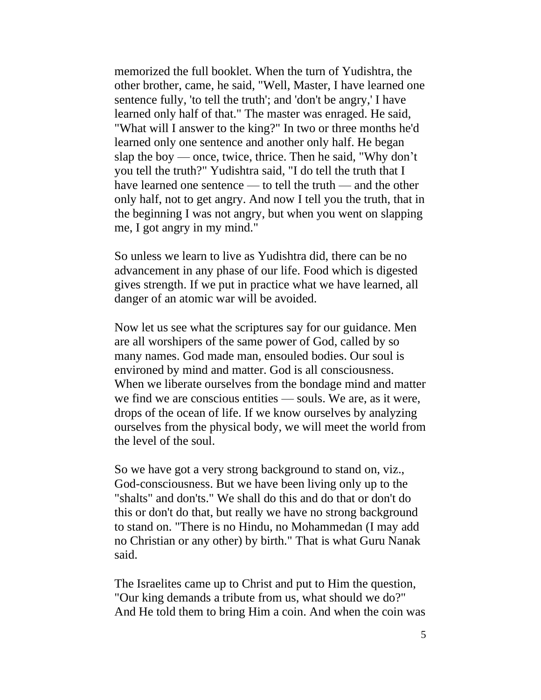memorized the full booklet. When the turn of Yudishtra, the other brother, came, he said, "Well, Master, I have learned one sentence fully, 'to tell the truth'; and 'don't be angry,' I have learned only half of that." The master was enraged. He said, "What will I answer to the king?" In two or three months he'd learned only one sentence and another only half. He began slap the boy — once, twice, thrice. Then he said, "Why don't you tell the truth?" Yudishtra said, "I do tell the truth that I have learned one sentence — to tell the truth — and the other only half, not to get angry. And now I tell you the truth, that in the beginning I was not angry, but when you went on slapping me, I got angry in my mind."

So unless we learn to live as Yudishtra did, there can be no advancement in any phase of our life. Food which is digested gives strength. If we put in practice what we have learned, all danger of an atomic war will be avoided.

Now let us see what the scriptures say for our guidance. Men are all worshipers of the same power of God, called by so many names. God made man, ensouled bodies. Our soul is environed by mind and matter. God is all consciousness. When we liberate ourselves from the bondage mind and matter we find we are conscious entities — souls. We are, as it were, drops of the ocean of life. If we know ourselves by analyzing ourselves from the physical body, we will meet the world from the level of the soul.

So we have got a very strong background to stand on, viz., God-consciousness. But we have been living only up to the "shalts" and don'ts." We shall do this and do that or don't do this or don't do that, but really we have no strong background to stand on. "There is no Hindu, no Mohammedan (I may add no Christian or any other) by birth." That is what Guru Nanak said.

The Israelites came up to Christ and put to Him the question, "Our king demands a tribute from us, what should we do?" And He told them to bring Him a coin. And when the coin was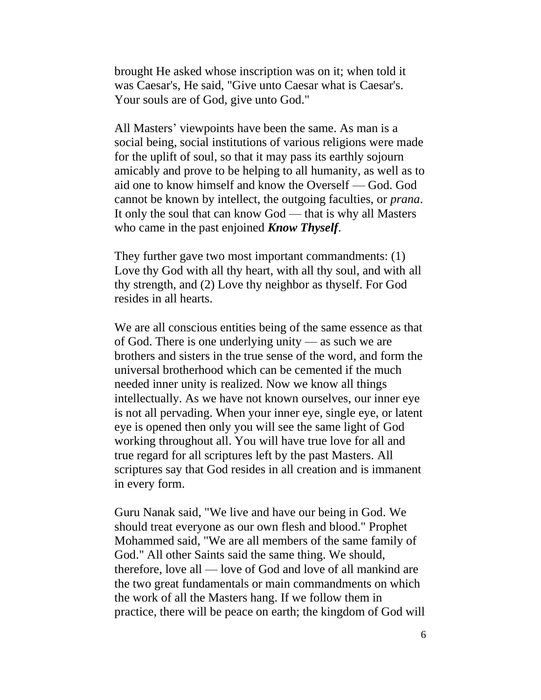brought He asked whose inscription was on it; when told it was Caesar's, He said, "Give unto Caesar what is Caesar's. Your souls are of God, give unto God."

All Masters' viewpoints have been the same. As man is a social being, social institutions of various religions were made for the uplift of soul, so that it may pass its earthly sojourn amicably and prove to be helping to all humanity, as well as to aid one to know himself and know the Overself — God. God cannot be known by intellect, the outgoing faculties, or *prana*. It only the soul that can know God — that is why all Masters who came in the past enjoined *Know Thyself*.

They further gave two most important commandments: (1) Love thy God with all thy heart, with all thy soul, and with all thy strength, and (2) Love thy neighbor as thyself. For God resides in all hearts.

We are all conscious entities being of the same essence as that of God. There is one underlying unity — as such we are brothers and sisters in the true sense of the word, and form the universal brotherhood which can be cemented if the much needed inner unity is realized. Now we know all things intellectually. As we have not known ourselves, our inner eye is not all pervading. When your inner eye, single eye, or latent eye is opened then only you will see the same light of God working throughout all. You will have true love for all and true regard for all scriptures left by the past Masters. All scriptures say that God resides in all creation and is immanent in every form.

Guru Nanak said, "We live and have our being in God. We should treat everyone as our own flesh and blood." Prophet Mohammed said, "We are all members of the same family of God." All other Saints said the same thing. We should, therefore, love all — love of God and love of all mankind are the two great fundamentals or main commandments on which the work of all the Masters hang. If we follow them in practice, there will be peace on earth; the kingdom of God will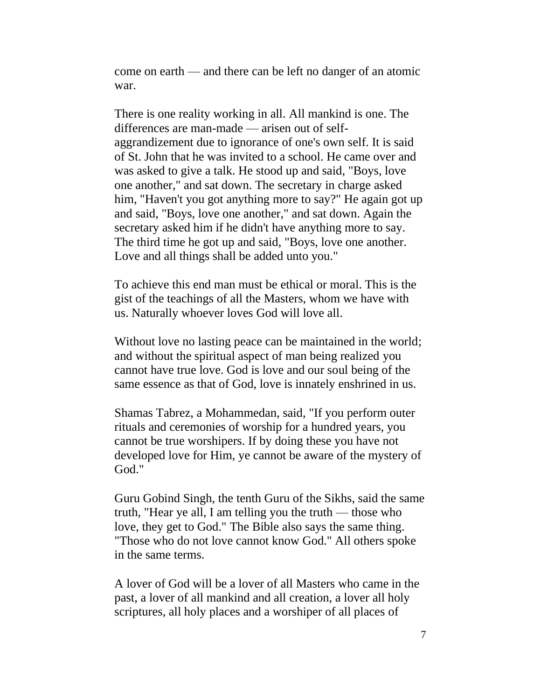come on earth — and there can be left no danger of an atomic war.

There is one reality working in all. All mankind is one. The differences are man-made — arisen out of selfaggrandizement due to ignorance of one's own self. It is said of St. John that he was invited to a school. He came over and was asked to give a talk. He stood up and said, "Boys, love one another," and sat down. The secretary in charge asked him, "Haven't you got anything more to say?" He again got up and said, "Boys, love one another," and sat down. Again the secretary asked him if he didn't have anything more to say. The third time he got up and said, "Boys, love one another. Love and all things shall be added unto you."

To achieve this end man must be ethical or moral. This is the gist of the teachings of all the Masters, whom we have with us. Naturally whoever loves God will love all.

Without love no lasting peace can be maintained in the world; and without the spiritual aspect of man being realized you cannot have true love. God is love and our soul being of the same essence as that of God, love is innately enshrined in us.

Shamas Tabrez, a Mohammedan, said, "If you perform outer rituals and ceremonies of worship for a hundred years, you cannot be true worshipers. If by doing these you have not developed love for Him, ye cannot be aware of the mystery of God."

Guru Gobind Singh, the tenth Guru of the Sikhs, said the same truth, "Hear ye all, I am telling you the truth — those who love, they get to God." The Bible also says the same thing. "Those who do not love cannot know God." All others spoke in the same terms.

A lover of God will be a lover of all Masters who came in the past, a lover of all mankind and all creation, a lover all holy scriptures, all holy places and a worshiper of all places of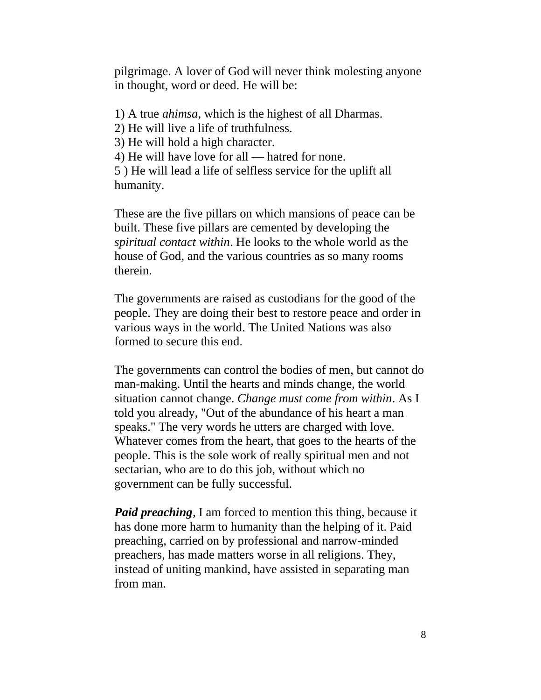pilgrimage. A lover of God will never think molesting anyone in thought, word or deed. He will be:

1) A true *ahimsa*, which is the highest of all Dharmas.

2) He will live a life of truthfulness.

3) He will hold a high character.

4) He will have love for all — hatred for none.

5 ) He will lead a life of selfless service for the uplift all humanity.

These are the five pillars on which mansions of peace can be built. These five pillars are cemented by developing the *spiritual contact within*. He looks to the whole world as the house of God, and the various countries as so many rooms therein.

The governments are raised as custodians for the good of the people. They are doing their best to restore peace and order in various ways in the world. The United Nations was also formed to secure this end.

The governments can control the bodies of men, but cannot do man-making. Until the hearts and minds change, the world situation cannot change. *Change must come from within*. As I told you already, "Out of the abundance of his heart a man speaks." The very words he utters are charged with love. Whatever comes from the heart, that goes to the hearts of the people. This is the sole work of really spiritual men and not sectarian, who are to do this job, without which no government can be fully successful.

*Paid preaching*, I am forced to mention this thing, because it has done more harm to humanity than the helping of it. Paid preaching, carried on by professional and narrow-minded preachers, has made matters worse in all religions. They, instead of uniting mankind, have assisted in separating man from man.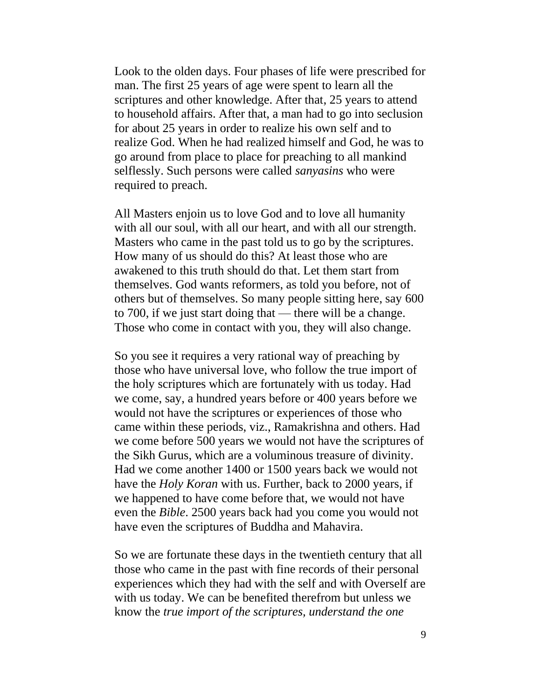Look to the olden days. Four phases of life were prescribed for man. The first 25 years of age were spent to learn all the scriptures and other knowledge. After that, 25 years to attend to household affairs. After that, a man had to go into seclusion for about 25 years in order to realize his own self and to realize God. When he had realized himself and God, he was to go around from place to place for preaching to all mankind selflessly. Such persons were called *sanyasins* who were required to preach.

All Masters enjoin us to love God and to love all humanity with all our soul, with all our heart, and with all our strength. Masters who came in the past told us to go by the scriptures. How many of us should do this? At least those who are awakened to this truth should do that. Let them start from themselves. God wants reformers, as told you before, not of others but of themselves. So many people sitting here, say 600 to 700, if we just start doing that — there will be a change. Those who come in contact with you, they will also change.

So you see it requires a very rational way of preaching by those who have universal love, who follow the true import of the holy scriptures which are fortunately with us today. Had we come, say, a hundred years before or 400 years before we would not have the scriptures or experiences of those who came within these periods, viz., Ramakrishna and others. Had we come before 500 years we would not have the scriptures of the Sikh Gurus, which are a voluminous treasure of divinity. Had we come another 1400 or 1500 years back we would not have the *Holy Koran* with us. Further, back to 2000 years, if we happened to have come before that, we would not have even the *Bible*. 2500 years back had you come you would not have even the scriptures of Buddha and Mahavira.

So we are fortunate these days in the twentieth century that all those who came in the past with fine records of their personal experiences which they had with the self and with Overself are with us today. We can be benefited therefrom but unless we know the *true import of the scriptures, understand the one*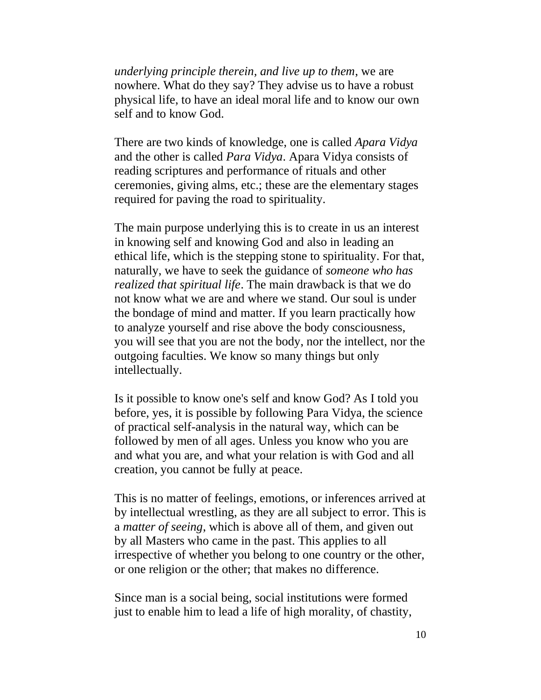*underlying principle therein, and live up to them*, we are nowhere. What do they say? They advise us to have a robust physical life, to have an ideal moral life and to know our own self and to know God.

There are two kinds of knowledge, one is called *Apara Vidya* and the other is called *Para Vidya*. Apara Vidya consists of reading scriptures and performance of rituals and other ceremonies, giving alms, etc.; these are the elementary stages required for paving the road to spirituality.

The main purpose underlying this is to create in us an interest in knowing self and knowing God and also in leading an ethical life, which is the stepping stone to spirituality. For that, naturally, we have to seek the guidance of *someone who has realized that spiritual life*. The main drawback is that we do not know what we are and where we stand. Our soul is under the bondage of mind and matter. If you learn practically how to analyze yourself and rise above the body consciousness, you will see that you are not the body, nor the intellect, nor the outgoing faculties. We know so many things but only intellectually.

Is it possible to know one's self and know God? As I told you before, yes, it is possible by following Para Vidya, the science of practical self-analysis in the natural way, which can be followed by men of all ages. Unless you know who you are and what you are, and what your relation is with God and all creation, you cannot be fully at peace.

This is no matter of feelings, emotions, or inferences arrived at by intellectual wrestling, as they are all subject to error. This is a *matter of seeing*, which is above all of them, and given out by all Masters who came in the past. This applies to all irrespective of whether you belong to one country or the other, or one religion or the other; that makes no difference.

Since man is a social being, social institutions were formed just to enable him to lead a life of high morality, of chastity,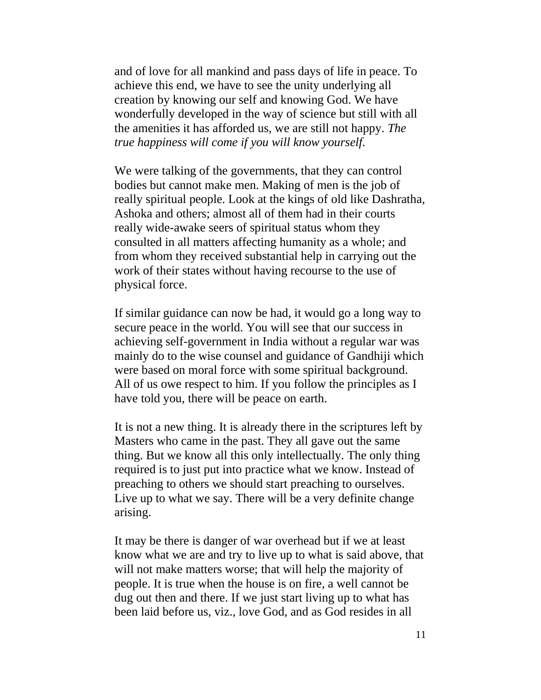and of love for all mankind and pass days of life in peace. To achieve this end, we have to see the unity underlying all creation by knowing our self and knowing God. We have wonderfully developed in the way of science but still with all the amenities it has afforded us, we are still not happy. *The true happiness will come if you will know yourself.*

We were talking of the governments, that they can control bodies but cannot make men. Making of men is the job of really spiritual people. Look at the kings of old like Dashratha, Ashoka and others; almost all of them had in their courts really wide-awake seers of spiritual status whom they consulted in all matters affecting humanity as a whole; and from whom they received substantial help in carrying out the work of their states without having recourse to the use of physical force.

If similar guidance can now be had, it would go a long way to secure peace in the world. You will see that our success in achieving self-government in India without a regular war was mainly do to the wise counsel and guidance of Gandhiji which were based on moral force with some spiritual background. All of us owe respect to him. If you follow the principles as I have told you, there will be peace on earth.

It is not a new thing. It is already there in the scriptures left by Masters who came in the past. They all gave out the same thing. But we know all this only intellectually. The only thing required is to just put into practice what we know. Instead of preaching to others we should start preaching to ourselves. Live up to what we say. There will be a very definite change arising.

It may be there is danger of war overhead but if we at least know what we are and try to live up to what is said above, that will not make matters worse; that will help the majority of people. It is true when the house is on fire, a well cannot be dug out then and there. If we just start living up to what has been laid before us, viz., love God, and as God resides in all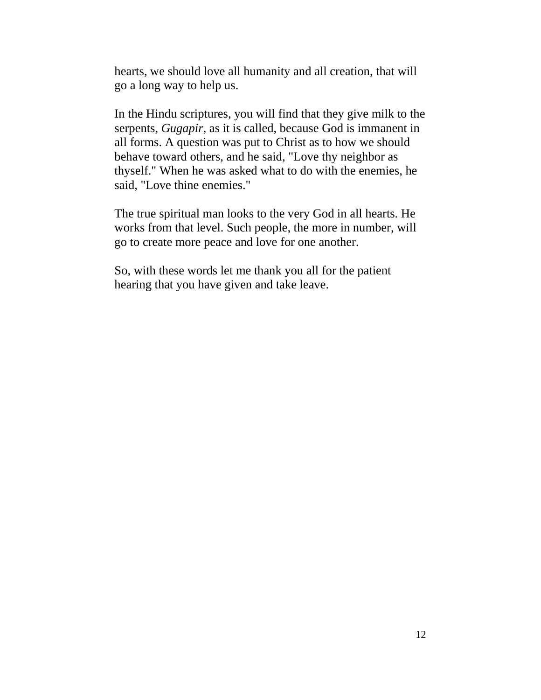hearts, we should love all humanity and all creation, that will go a long way to help us.

In the Hindu scriptures, you will find that they give milk to the serpents, *Gugapir*, as it is called, because God is immanent in all forms. A question was put to Christ as to how we should behave toward others, and he said, "Love thy neighbor as thyself." When he was asked what to do with the enemies, he said, "Love thine enemies."

The true spiritual man looks to the very God in all hearts. He works from that level. Such people, the more in number, will go to create more peace and love for one another.

So, with these words let me thank you all for the patient hearing that you have given and take leave.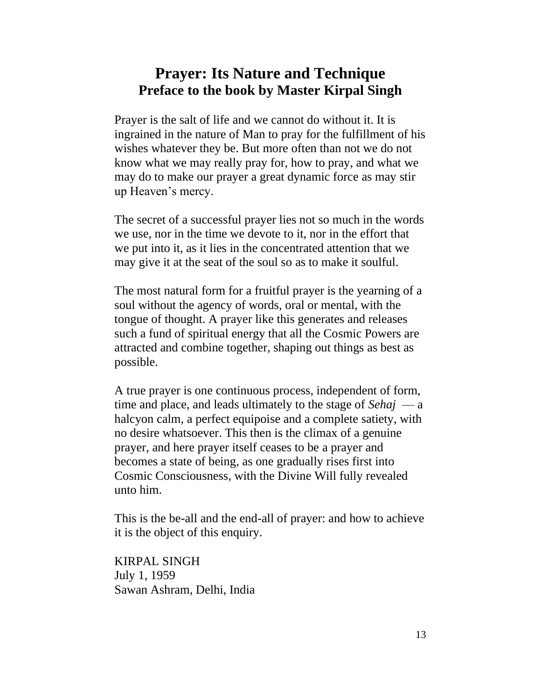# **Prayer: Its Nature and Technique Preface to the book by Master Kirpal Singh**

Prayer is the salt of life and we cannot do without it. It is ingrained in the nature of Man to pray for the fulfillment of his wishes whatever they be. But more often than not we do not know what we may really pray for, how to pray, and what we may do to make our prayer a great dynamic force as may stir up Heaven's mercy.

The secret of a successful prayer lies not so much in the words we use, nor in the time we devote to it, nor in the effort that we put into it, as it lies in the concentrated attention that we may give it at the seat of the soul so as to make it soulful.

The most natural form for a fruitful prayer is the yearning of a soul without the agency of words, oral or mental, with the tongue of thought. A prayer like this generates and releases such a fund of spiritual energy that all the Cosmic Powers are attracted and combine together, shaping out things as best as possible.

A true prayer is one continuous process, independent of form, time and place, and leads ultimately to the stage of *Sehaj* — a halcyon calm, a perfect equipoise and a complete satiety, with no desire whatsoever. This then is the climax of a genuine prayer, and here prayer itself ceases to be a prayer and becomes a state of being, as one gradually rises first into Cosmic Consciousness, with the Divine Will fully revealed unto him.

This is the be-all and the end-all of prayer: and how to achieve it is the object of this enquiry.

KIRPAL SINGH July 1, 1959 Sawan Ashram, Delhi, India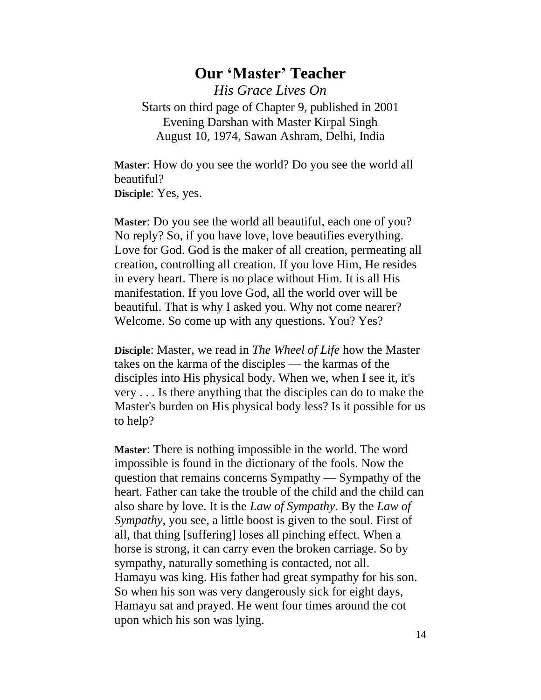## **Our 'Master' Teacher** *His Grace Lives On*

Starts on third page of Chapter 9, published in 2001 Evening Darshan with Master Kirpal Singh August 10, 1974, Sawan Ashram, Delhi, India

**Master**: How do you see the world? Do you see the world all beautiful? **Disciple**: Yes, yes.

**Master**: Do you see the world all beautiful, each one of you? No reply? So, if you have love, love beautifies everything. Love for God. God is the maker of all creation, permeating all creation, controlling all creation. If you love Him, He resides in every heart. There is no place without Him. It is all His manifestation. If you love God, all the world over will be beautiful. That is why I asked you. Why not come nearer? Welcome. So come up with any questions. You? Yes?

**Disciple**: Master, we read in *The Wheel of Life* how the Master takes on the karma of the disciples — the karmas of the disciples into His physical body. When we, when I see it, it's very . . . Is there anything that the disciples can do to make the Master's burden on His physical body less? Is it possible for us to help?

**Master**: There is nothing impossible in the world. The word impossible is found in the dictionary of the fools. Now the question that remains concerns Sympathy — Sympathy of the heart. Father can take the trouble of the child and the child can also share by love. It is the *Law of Sympathy*. By the *Law of Sympathy*, you see, a little boost is given to the soul. First of all, that thing [suffering] loses all pinching effect. When a horse is strong, it can carry even the broken carriage. So by sympathy, naturally something is contacted, not all. Hamayu was king. His father had great sympathy for his son. So when his son was very dangerously sick for eight days, Hamayu sat and prayed. He went four times around the cot upon which his son was lying.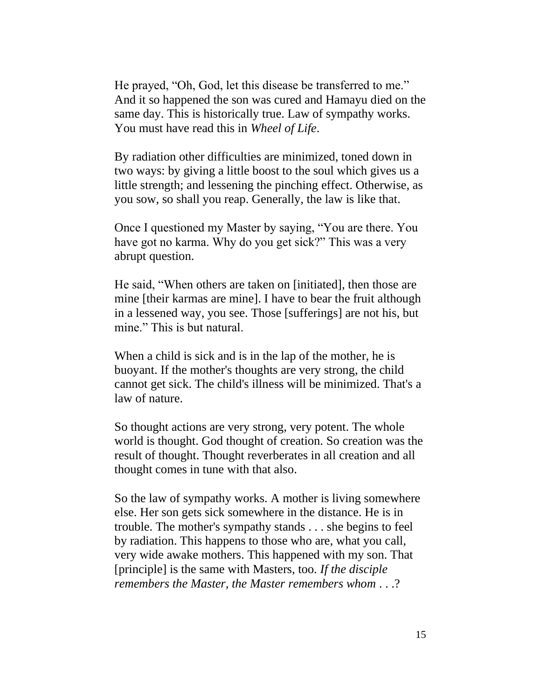He prayed, "Oh, God, let this disease be transferred to me." And it so happened the son was cured and Hamayu died on the same day. This is historically true. Law of sympathy works. You must have read this in *Wheel of Life*.

By radiation other difficulties are minimized, toned down in two ways: by giving a little boost to the soul which gives us a little strength; and lessening the pinching effect. Otherwise, as you sow, so shall you reap. Generally, the law is like that.

Once I questioned my Master by saying, "You are there. You have got no karma. Why do you get sick?" This was a very abrupt question.

He said, "When others are taken on [initiated], then those are mine [their karmas are mine]. I have to bear the fruit although in a lessened way, you see. Those [sufferings] are not his, but mine." This is but natural.

When a child is sick and is in the lap of the mother, he is buoyant. If the mother's thoughts are very strong, the child cannot get sick. The child's illness will be minimized. That's a law of nature.

So thought actions are very strong, very potent. The whole world is thought. God thought of creation. So creation was the result of thought. Thought reverberates in all creation and all thought comes in tune with that also.

So the law of sympathy works. A mother is living somewhere else. Her son gets sick somewhere in the distance. He is in trouble. The mother's sympathy stands . . . she begins to feel by radiation. This happens to those who are, what you call, very wide awake mothers. This happened with my son. That [principle] is the same with Masters, too. *If the disciple remembers the Master, the Master remembers whom* . . .?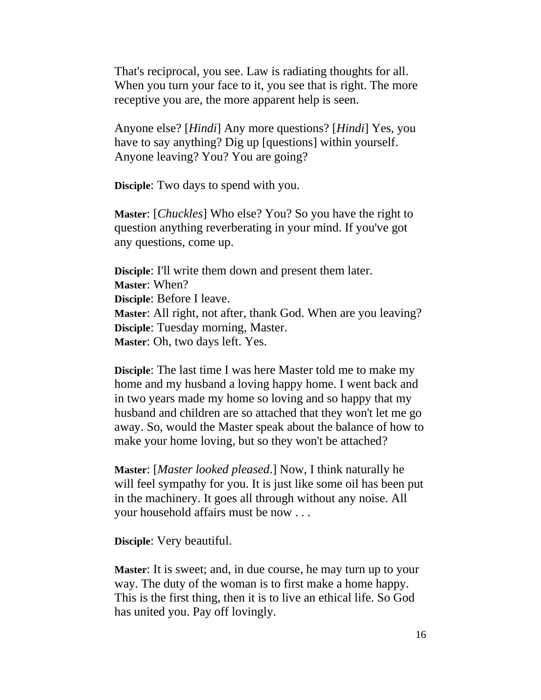That's reciprocal, you see. Law is radiating thoughts for all. When you turn your face to it, you see that is right. The more receptive you are, the more apparent help is seen.

Anyone else? [*Hindi*] Any more questions? [*Hindi*] Yes, you have to say anything? Dig up [questions] within yourself. Anyone leaving? You? You are going?

**Disciple**: Two days to spend with you.

**Master**: [*Chuckles*] Who else? You? So you have the right to question anything reverberating in your mind. If you've got any questions, come up.

**Disciple**: I'll write them down and present them later. **Master**: When? **Disciple**: Before I leave. **Master**: All right, not after, thank God. When are you leaving? **Disciple**: Tuesday morning, Master. **Master**: Oh, two days left. Yes.

**Disciple**: The last time I was here Master told me to make my home and my husband a loving happy home. I went back and in two years made my home so loving and so happy that my husband and children are so attached that they won't let me go away. So, would the Master speak about the balance of how to make your home loving, but so they won't be attached?

**Master**: [*Master looked pleased*.] Now, I think naturally he will feel sympathy for you. It is just like some oil has been put in the machinery. It goes all through without any noise. All your household affairs must be now . . .

**Disciple**: Very beautiful.

**Master**: It is sweet; and, in due course, he may turn up to your way. The duty of the woman is to first make a home happy. This is the first thing, then it is to live an ethical life. So God has united you. Pay off lovingly.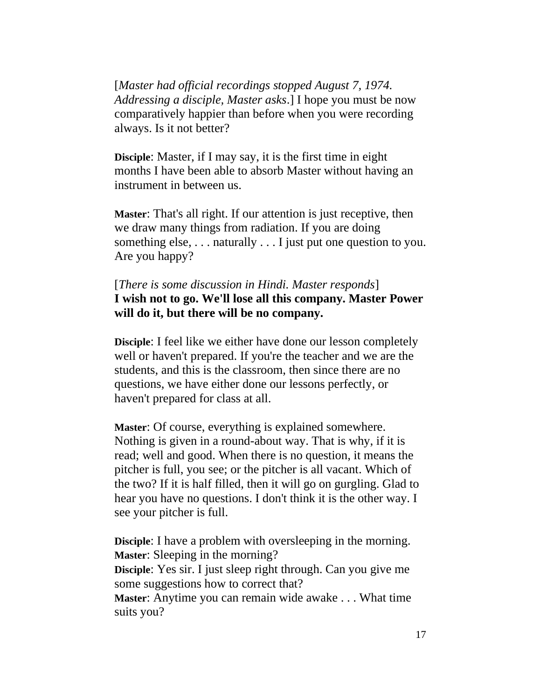[*Master had official recordings stopped August 7, 1974. Addressing a disciple, Master asks*.] I hope you must be now comparatively happier than before when you were recording always. Is it not better?

**Disciple**: Master, if I may say, it is the first time in eight months I have been able to absorb Master without having an instrument in between us.

**Master**: That's all right. If our attention is just receptive, then we draw many things from radiation. If you are doing something else, . . . naturally . . . I just put one question to you. Are you happy?

#### [*There is some discussion in Hindi. Master responds*] **I wish not to go. We'll lose all this company. Master Power will do it, but there will be no company.**

**Disciple**: I feel like we either have done our lesson completely well or haven't prepared. If you're the teacher and we are the students, and this is the classroom, then since there are no questions, we have either done our lessons perfectly, or haven't prepared for class at all.

**Master**: Of course, everything is explained somewhere. Nothing is given in a round-about way. That is why, if it is read; well and good. When there is no question, it means the pitcher is full, you see; or the pitcher is all vacant. Which of the two? If it is half filled, then it will go on gurgling. Glad to hear you have no questions. I don't think it is the other way. I see your pitcher is full.

**Disciple**: I have a problem with oversleeping in the morning. **Master**: Sleeping in the morning?

**Disciple**: Yes sir. I just sleep right through. Can you give me some suggestions how to correct that?

**Master**: Anytime you can remain wide awake . . . What time suits you?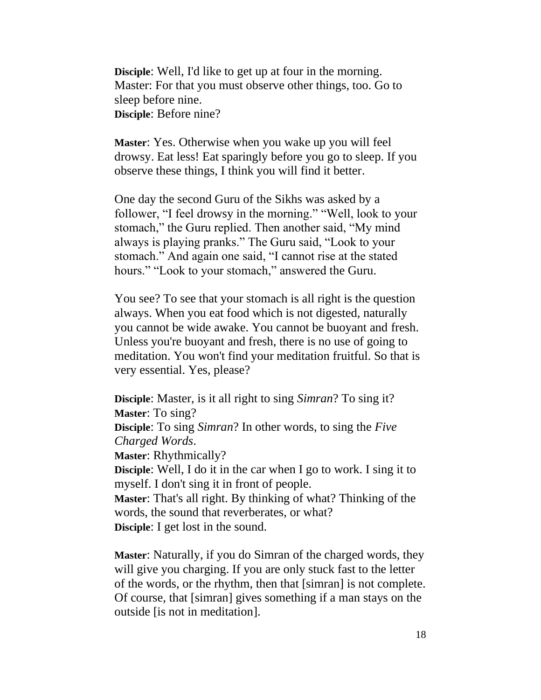**Disciple**: Well, I'd like to get up at four in the morning. Master: For that you must observe other things, too. Go to sleep before nine. **Disciple**: Before nine?

**Master**: Yes. Otherwise when you wake up you will feel drowsy. Eat less! Eat sparingly before you go to sleep. If you observe these things, I think you will find it better.

One day the second Guru of the Sikhs was asked by a follower, "I feel drowsy in the morning." "Well, look to your stomach," the Guru replied. Then another said, "My mind always is playing pranks." The Guru said, "Look to your stomach." And again one said, "I cannot rise at the stated hours." "Look to your stomach," answered the Guru.

You see? To see that your stomach is all right is the question always. When you eat food which is not digested, naturally you cannot be wide awake. You cannot be buoyant and fresh. Unless you're buoyant and fresh, there is no use of going to meditation. You won't find your meditation fruitful. So that is very essential. Yes, please?

**Disciple**: Master, is it all right to sing *Simran*? To sing it? **Master**: To sing? **Disciple**: To sing *Simran*? In other words, to sing the *Five Charged Words*. **Master**: Rhythmically? **Disciple**: Well, I do it in the car when I go to work. I sing it to myself. I don't sing it in front of people. **Master**: That's all right. By thinking of what? Thinking of the words, the sound that reverberates, or what? **Disciple:** I get lost in the sound.

**Master**: Naturally, if you do Simran of the charged words, they will give you charging. If you are only stuck fast to the letter of the words, or the rhythm, then that [simran] is not complete. Of course, that [simran] gives something if a man stays on the outside [is not in meditation].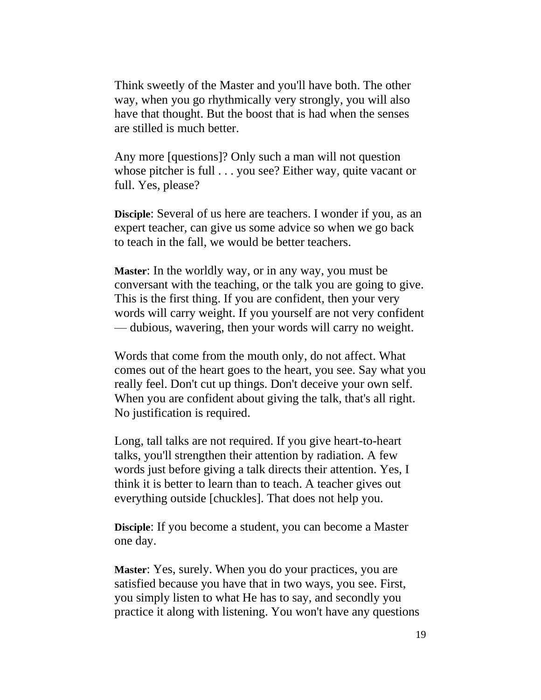Think sweetly of the Master and you'll have both. The other way, when you go rhythmically very strongly, you will also have that thought. But the boost that is had when the senses are stilled is much better.

Any more [questions]? Only such a man will not question whose pitcher is full . . . you see? Either way, quite vacant or full. Yes, please?

**Disciple**: Several of us here are teachers. I wonder if you, as an expert teacher, can give us some advice so when we go back to teach in the fall, we would be better teachers.

**Master**: In the worldly way, or in any way, you must be conversant with the teaching, or the talk you are going to give. This is the first thing. If you are confident, then your very words will carry weight. If you yourself are not very confident — dubious, wavering, then your words will carry no weight.

Words that come from the mouth only, do not affect. What comes out of the heart goes to the heart, you see. Say what you really feel. Don't cut up things. Don't deceive your own self. When you are confident about giving the talk, that's all right. No justification is required.

Long, tall talks are not required. If you give heart-to-heart talks, you'll strengthen their attention by radiation. A few words just before giving a talk directs their attention. Yes, I think it is better to learn than to teach. A teacher gives out everything outside [chuckles]. That does not help you.

**Disciple**: If you become a student, you can become a Master one day.

**Master**: Yes, surely. When you do your practices, you are satisfied because you have that in two ways, you see. First, you simply listen to what He has to say, and secondly you practice it along with listening. You won't have any questions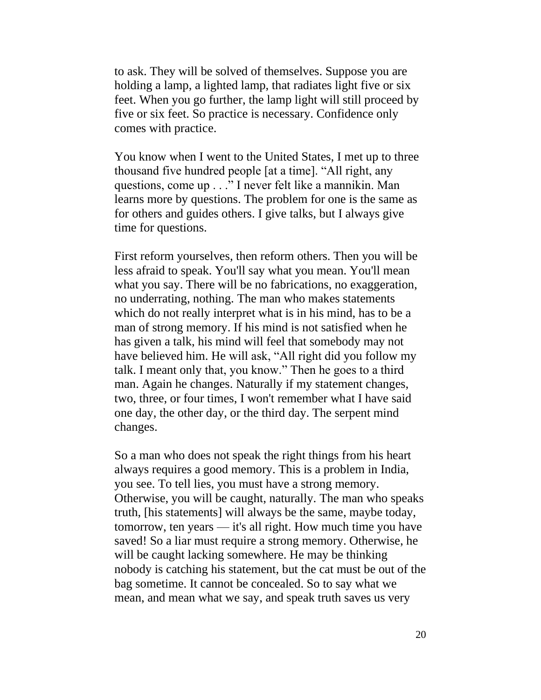to ask. They will be solved of themselves. Suppose you are holding a lamp, a lighted lamp, that radiates light five or six feet. When you go further, the lamp light will still proceed by five or six feet. So practice is necessary. Confidence only comes with practice.

You know when I went to the United States, I met up to three thousand five hundred people [at a time]. "All right, any questions, come up . . ." I never felt like a mannikin. Man learns more by questions. The problem for one is the same as for others and guides others. I give talks, but I always give time for questions.

First reform yourselves, then reform others. Then you will be less afraid to speak. You'll say what you mean. You'll mean what you say. There will be no fabrications, no exaggeration, no underrating, nothing. The man who makes statements which do not really interpret what is in his mind, has to be a man of strong memory. If his mind is not satisfied when he has given a talk, his mind will feel that somebody may not have believed him. He will ask, "All right did you follow my talk. I meant only that, you know." Then he goes to a third man. Again he changes. Naturally if my statement changes, two, three, or four times, I won't remember what I have said one day, the other day, or the third day. The serpent mind changes.

So a man who does not speak the right things from his heart always requires a good memory. This is a problem in India, you see. To tell lies, you must have a strong memory. Otherwise, you will be caught, naturally. The man who speaks truth, [his statements] will always be the same, maybe today, tomorrow, ten years — it's all right. How much time you have saved! So a liar must require a strong memory. Otherwise, he will be caught lacking somewhere. He may be thinking nobody is catching his statement, but the cat must be out of the bag sometime. It cannot be concealed. So to say what we mean, and mean what we say, and speak truth saves us very